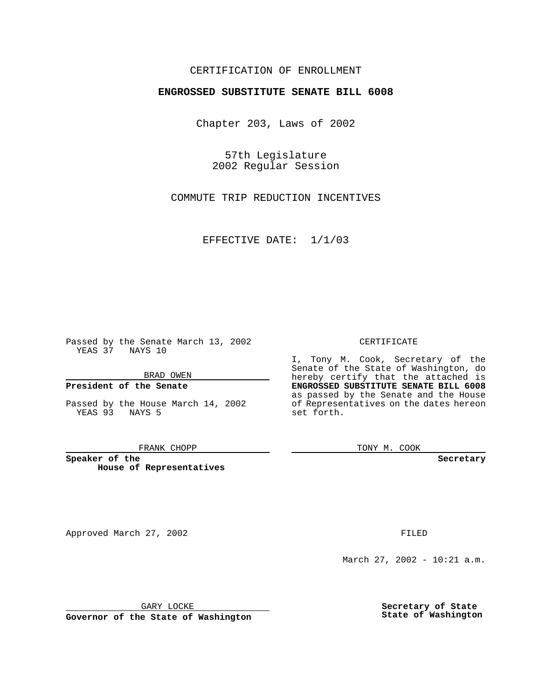## CERTIFICATION OF ENROLLMENT

# **ENGROSSED SUBSTITUTE SENATE BILL 6008**

Chapter 203, Laws of 2002

57th Legislature 2002 Regular Session

COMMUTE TRIP REDUCTION INCENTIVES

EFFECTIVE DATE: 1/1/03

Passed by the Senate March 13, 2002 YEAS 37 NAYS 10

BRAD OWEN

### **President of the Senate**

Passed by the House March 14, 2002 YEAS 93 NAYS 5

#### FRANK CHOPP

**Speaker of the House of Representatives**

Approved March 27, 2002 **FILED** 

March 27, 2002 - 10:21 a.m.

GARY LOCKE

**Governor of the State of Washington**

#### CERTIFICATE

I, Tony M. Cook, Secretary of the Senate of the State of Washington, do hereby certify that the attached is **ENGROSSED SUBSTITUTE SENATE BILL 6008** as passed by the Senate and the House of Representatives on the dates hereon set forth.

TONY M. COOK

**Secretary**

**Secretary of State State of Washington**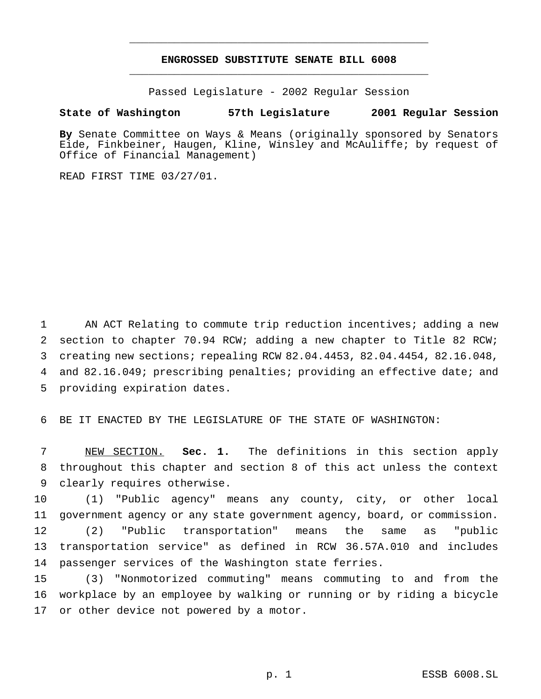## **ENGROSSED SUBSTITUTE SENATE BILL 6008** \_\_\_\_\_\_\_\_\_\_\_\_\_\_\_\_\_\_\_\_\_\_\_\_\_\_\_\_\_\_\_\_\_\_\_\_\_\_\_\_\_\_\_\_\_\_\_

\_\_\_\_\_\_\_\_\_\_\_\_\_\_\_\_\_\_\_\_\_\_\_\_\_\_\_\_\_\_\_\_\_\_\_\_\_\_\_\_\_\_\_\_\_\_\_

Passed Legislature - 2002 Regular Session

### **State of Washington 57th Legislature 2001 Regular Session**

**By** Senate Committee on Ways & Means (originally sponsored by Senators Eide, Finkbeiner, Haugen, Kline, Winsley and McAuliffe; by request of Office of Financial Management)

READ FIRST TIME 03/27/01.

 AN ACT Relating to commute trip reduction incentives; adding a new section to chapter 70.94 RCW; adding a new chapter to Title 82 RCW; creating new sections; repealing RCW 82.04.4453, 82.04.4454, 82.16.048, and 82.16.049; prescribing penalties; providing an effective date; and providing expiration dates.

6 BE IT ENACTED BY THE LEGISLATURE OF THE STATE OF WASHINGTON:

7 NEW SECTION. **Sec. 1.** The definitions in this section apply 8 throughout this chapter and section 8 of this act unless the context 9 clearly requires otherwise.

 (1) "Public agency" means any county, city, or other local government agency or any state government agency, board, or commission. (2) "Public transportation" means the same as "public transportation service" as defined in RCW 36.57A.010 and includes passenger services of the Washington state ferries.

15 (3) "Nonmotorized commuting" means commuting to and from the 16 workplace by an employee by walking or running or by riding a bicycle 17 or other device not powered by a motor.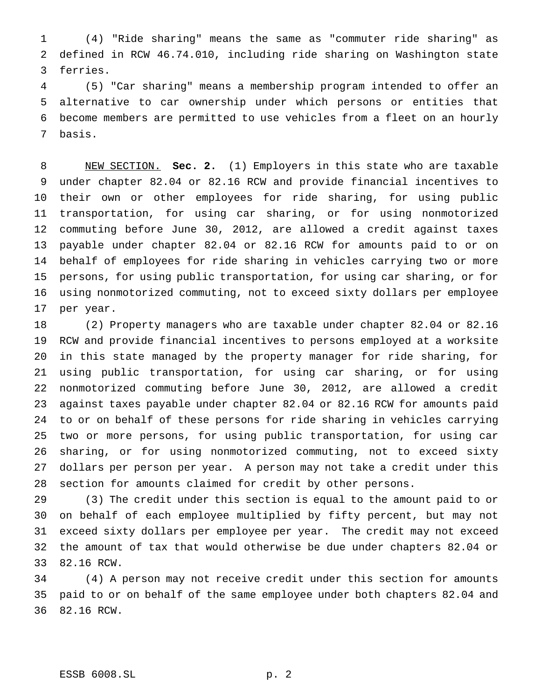(4) "Ride sharing" means the same as "commuter ride sharing" as defined in RCW 46.74.010, including ride sharing on Washington state ferries.

 (5) "Car sharing" means a membership program intended to offer an alternative to car ownership under which persons or entities that become members are permitted to use vehicles from a fleet on an hourly basis.

 NEW SECTION. **Sec. 2.** (1) Employers in this state who are taxable under chapter 82.04 or 82.16 RCW and provide financial incentives to their own or other employees for ride sharing, for using public transportation, for using car sharing, or for using nonmotorized commuting before June 30, 2012, are allowed a credit against taxes payable under chapter 82.04 or 82.16 RCW for amounts paid to or on behalf of employees for ride sharing in vehicles carrying two or more persons, for using public transportation, for using car sharing, or for using nonmotorized commuting, not to exceed sixty dollars per employee per year.

 (2) Property managers who are taxable under chapter 82.04 or 82.16 RCW and provide financial incentives to persons employed at a worksite in this state managed by the property manager for ride sharing, for using public transportation, for using car sharing, or for using nonmotorized commuting before June 30, 2012, are allowed a credit against taxes payable under chapter 82.04 or 82.16 RCW for amounts paid to or on behalf of these persons for ride sharing in vehicles carrying two or more persons, for using public transportation, for using car sharing, or for using nonmotorized commuting, not to exceed sixty dollars per person per year. A person may not take a credit under this section for amounts claimed for credit by other persons.

 (3) The credit under this section is equal to the amount paid to or on behalf of each employee multiplied by fifty percent, but may not exceed sixty dollars per employee per year. The credit may not exceed the amount of tax that would otherwise be due under chapters 82.04 or 82.16 RCW.

 (4) A person may not receive credit under this section for amounts paid to or on behalf of the same employee under both chapters 82.04 and 82.16 RCW.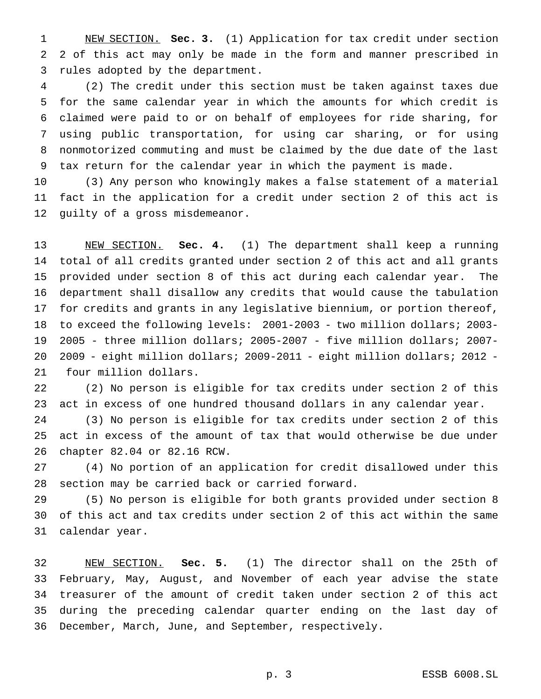NEW SECTION. **Sec. 3.** (1) Application for tax credit under section 2 of this act may only be made in the form and manner prescribed in rules adopted by the department.

 (2) The credit under this section must be taken against taxes due for the same calendar year in which the amounts for which credit is claimed were paid to or on behalf of employees for ride sharing, for using public transportation, for using car sharing, or for using nonmotorized commuting and must be claimed by the due date of the last tax return for the calendar year in which the payment is made.

 (3) Any person who knowingly makes a false statement of a material fact in the application for a credit under section 2 of this act is guilty of a gross misdemeanor.

 NEW SECTION. **Sec. 4.** (1) The department shall keep a running total of all credits granted under section 2 of this act and all grants provided under section 8 of this act during each calendar year. The department shall disallow any credits that would cause the tabulation for credits and grants in any legislative biennium, or portion thereof, to exceed the following levels: 2001-2003 - two million dollars; 2003- 2005 - three million dollars; 2005-2007 - five million dollars; 2007- 2009 - eight million dollars; 2009-2011 - eight million dollars; 2012 - four million dollars.

 (2) No person is eligible for tax credits under section 2 of this act in excess of one hundred thousand dollars in any calendar year.

 (3) No person is eligible for tax credits under section 2 of this act in excess of the amount of tax that would otherwise be due under chapter 82.04 or 82.16 RCW.

 (4) No portion of an application for credit disallowed under this section may be carried back or carried forward.

 (5) No person is eligible for both grants provided under section 8 of this act and tax credits under section 2 of this act within the same calendar year.

 NEW SECTION. **Sec. 5.** (1) The director shall on the 25th of February, May, August, and November of each year advise the state treasurer of the amount of credit taken under section 2 of this act during the preceding calendar quarter ending on the last day of December, March, June, and September, respectively.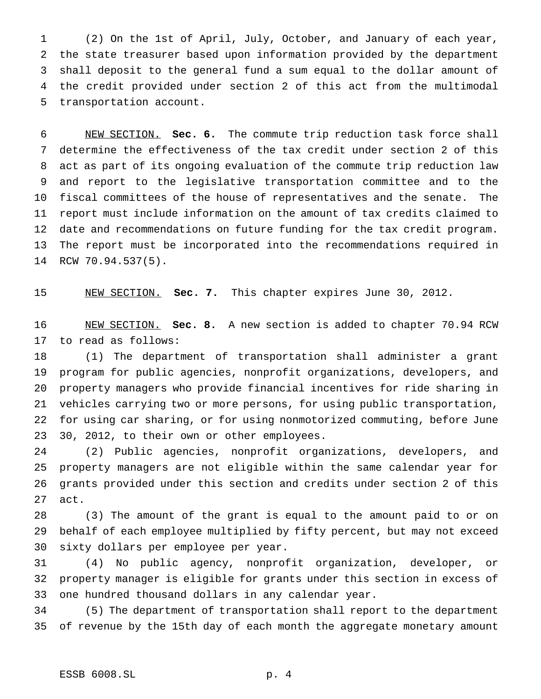(2) On the 1st of April, July, October, and January of each year, the state treasurer based upon information provided by the department shall deposit to the general fund a sum equal to the dollar amount of the credit provided under section 2 of this act from the multimodal transportation account.

 NEW SECTION. **Sec. 6.** The commute trip reduction task force shall determine the effectiveness of the tax credit under section 2 of this act as part of its ongoing evaluation of the commute trip reduction law and report to the legislative transportation committee and to the fiscal committees of the house of representatives and the senate. The report must include information on the amount of tax credits claimed to date and recommendations on future funding for the tax credit program. The report must be incorporated into the recommendations required in RCW 70.94.537(5).

NEW SECTION. **Sec. 7.** This chapter expires June 30, 2012.

 NEW SECTION. **Sec. 8.** A new section is added to chapter 70.94 RCW to read as follows:

 (1) The department of transportation shall administer a grant program for public agencies, nonprofit organizations, developers, and property managers who provide financial incentives for ride sharing in vehicles carrying two or more persons, for using public transportation, for using car sharing, or for using nonmotorized commuting, before June 30, 2012, to their own or other employees.

 (2) Public agencies, nonprofit organizations, developers, and property managers are not eligible within the same calendar year for grants provided under this section and credits under section 2 of this act.

 (3) The amount of the grant is equal to the amount paid to or on behalf of each employee multiplied by fifty percent, but may not exceed sixty dollars per employee per year.

 (4) No public agency, nonprofit organization, developer, or property manager is eligible for grants under this section in excess of one hundred thousand dollars in any calendar year.

 (5) The department of transportation shall report to the department of revenue by the 15th day of each month the aggregate monetary amount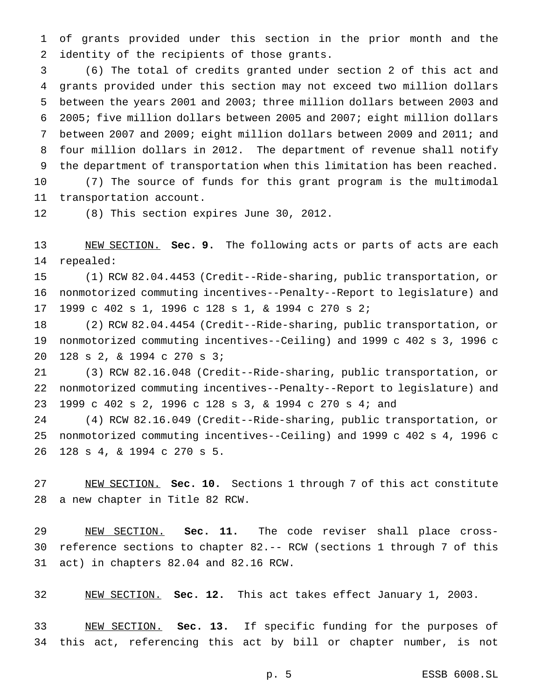of grants provided under this section in the prior month and the identity of the recipients of those grants.

 (6) The total of credits granted under section 2 of this act and grants provided under this section may not exceed two million dollars between the years 2001 and 2003; three million dollars between 2003 and 2005; five million dollars between 2005 and 2007; eight million dollars between 2007 and 2009; eight million dollars between 2009 and 2011; and four million dollars in 2012. The department of revenue shall notify the department of transportation when this limitation has been reached.

 (7) The source of funds for this grant program is the multimodal transportation account.

(8) This section expires June 30, 2012.

 NEW SECTION. **Sec. 9.** The following acts or parts of acts are each repealed:

 (1) RCW 82.04.4453 (Credit--Ride-sharing, public transportation, or nonmotorized commuting incentives--Penalty--Report to legislature) and 1999 c 402 s 1, 1996 c 128 s 1, & 1994 c 270 s 2;

 (2) RCW 82.04.4454 (Credit--Ride-sharing, public transportation, or nonmotorized commuting incentives--Ceiling) and 1999 c 402 s 3, 1996 c 128 s 2, & 1994 c 270 s 3;

 (3) RCW 82.16.048 (Credit--Ride-sharing, public transportation, or nonmotorized commuting incentives--Penalty--Report to legislature) and 1999 c 402 s 2, 1996 c 128 s 3, & 1994 c 270 s 4; and

 (4) RCW 82.16.049 (Credit--Ride-sharing, public transportation, or nonmotorized commuting incentives--Ceiling) and 1999 c 402 s 4, 1996 c 128 s 4, & 1994 c 270 s 5.

 NEW SECTION. **Sec. 10.** Sections 1 through 7 of this act constitute a new chapter in Title 82 RCW.

 NEW SECTION. **Sec. 11.** The code reviser shall place cross- reference sections to chapter 82.-- RCW (sections 1 through 7 of this act) in chapters 82.04 and 82.16 RCW.

NEW SECTION. **Sec. 12.** This act takes effect January 1, 2003.

 NEW SECTION. **Sec. 13.** If specific funding for the purposes of this act, referencing this act by bill or chapter number, is not